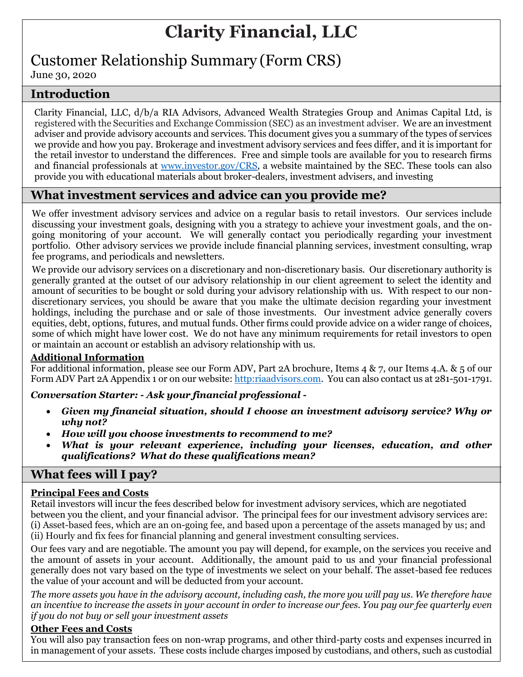# **Clarity Financial, LLC**

## Customer Relationship Summary (Form CRS)

June 30, 2020

## **Introduction**

Clarity Financial, LLC, d/b/a RIA Advisors, Advanced Wealth Strategies Group and Animas Capital Ltd, is registered with the Securities and Exchange Commission (SEC) as an investment adviser. We are an investment adviser and provide advisory accounts and services. This document gives you a summary of the types of services we provide and how you pay. Brokerage and investment advisory services and fees differ, and it is important for the retail investor to understand the differences. Free and simple tools are available for you to research firms and financial professionals at [www.investor.gov/CRS,](http://www.investor.gov/CRS) a website maintained by the SEC. These tools can also provide you with educational materials about broker-dealers, investment advisers, and investing

## **What investment services and advice can you provide me?**

We offer investment advisory services and advice on a regular basis to retail investors. Our services include discussing your investment goals, designing with you a strategy to achieve your investment goals, and the ongoing monitoring of your account. We will generally contact you periodically regarding your investment portfolio. Other advisory services we provide include financial planning services, investment consulting, wrap fee programs, and periodicals and newsletters.

We provide our advisory services on a discretionary and non-discretionary basis. Our discretionary authority is generally granted at the outset of our advisory relationship in our client agreement to select the identity and amount of securities to be bought or sold during your advisory relationship with us. With respect to our nondiscretionary services, you should be aware that you make the ultimate decision regarding your investment holdings, including the purchase and or sale of those investments. Our investment advice generally covers equities, debt, options, futures, and mutual funds. Other firms could provide advice on a wider range of choices, some of which might have lower cost. We do not have any minimum requirements for retail investors to open or maintain an account or establish an advisory relationship with us.

#### **Additional Information**

For additional information, please see our Form ADV, Part 2A brochure, Items 4 & 7, our Items 4.A. & 5 of our Form ADV Part 2A Appendix 1 or on our website[: http:riaadvisors.com.](http://riaadvisors.com/) You can also contact us at 281-501-1791.

#### *Conversation Starter: - Ask your financial professional -*

- *Given my financial situation, should I choose an investment advisory service? Why or why not?*
- *How will you choose investments to recommend to me?*
- *What is your relevant experience, including your licenses, education, and other qualifications? What do these qualifications mean?*

## **What fees will I pay?**

#### **Principal Fees and Costs**

Retail investors will incur the fees described below for investment advisory services, which are negotiated between you the client, and your financial advisor. The principal fees for our investment advisory services are: (i) Asset-based fees, which are an on-going fee, and based upon a percentage of the assets managed by us; and (ii) Hourly and fix fees for financial planning and general investment consulting services.

Our fees vary and are negotiable. The amount you pay will depend, for example, on the services you receive and the amount of assets in your account. Additionally, the amount paid to us and your financial professional generally does not vary based on the type of investments we select on your behalf. The asset-based fee reduces the value of your account and will be deducted from your account.

*The more assets you have in the advisory account, including cash, the more you will pay us. We therefore have an incentive to increase the assets in your account in order to increase our fees. You pay our fee quarterly even if you do not buy or sell your investment assets*

#### **Other Fees and Costs**

You will also pay transaction fees on non-wrap programs, and other third-party costs and expenses incurred in in management of your assets. These costs include charges imposed by custodians, and others, such as custodial